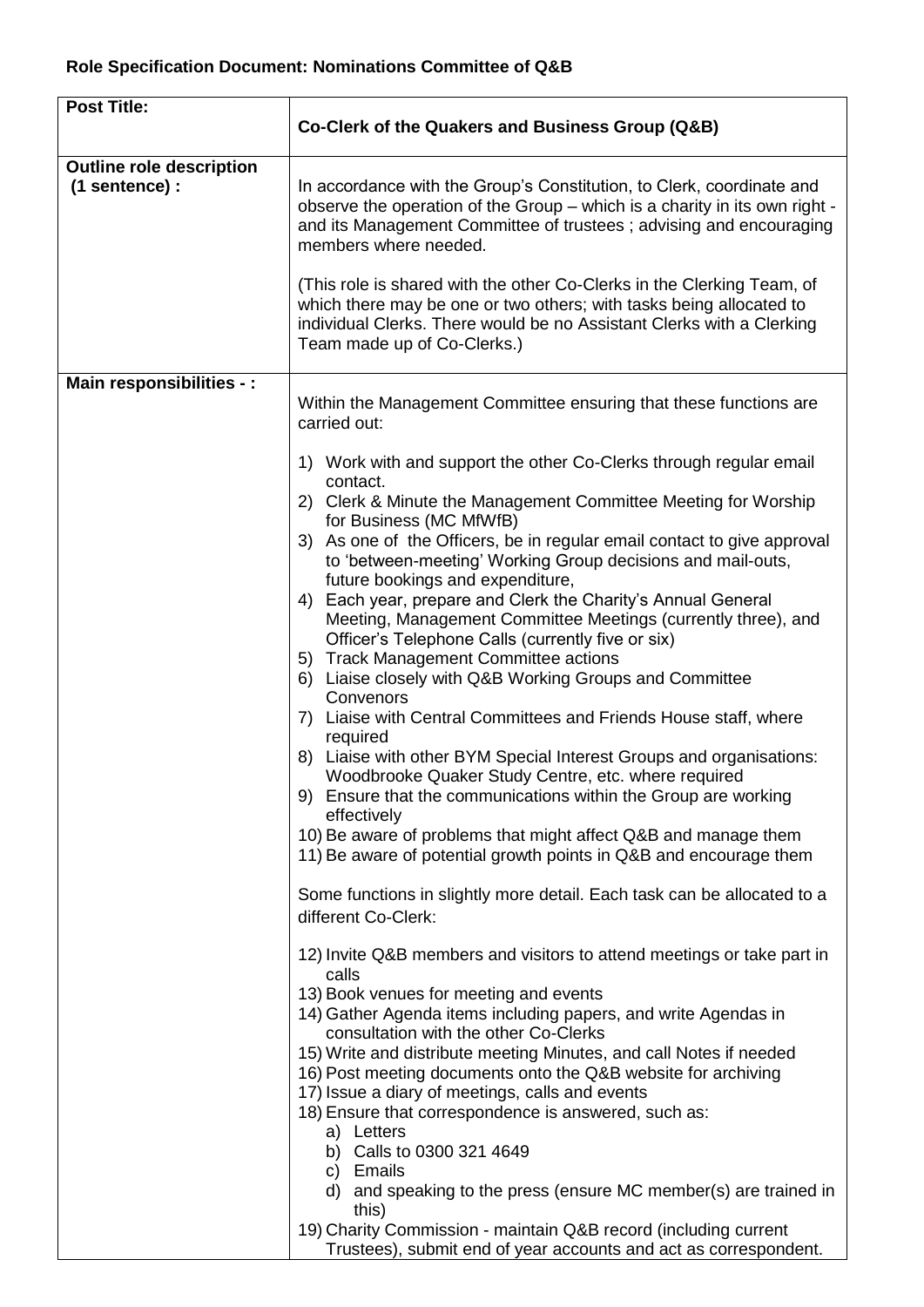| <b>Post Title:</b>                                | Co-Clerk of the Quakers and Business Group (Q&B)                                                                                                                                                                                                      |
|---------------------------------------------------|-------------------------------------------------------------------------------------------------------------------------------------------------------------------------------------------------------------------------------------------------------|
| <b>Outline role description</b><br>(1 sentence) : | In accordance with the Group's Constitution, to Clerk, coordinate and<br>observe the operation of the Group – which is a charity in its own right -<br>and its Management Committee of trustees; advising and encouraging<br>members where needed.    |
|                                                   | (This role is shared with the other Co-Clerks in the Clerking Team, of<br>which there may be one or two others; with tasks being allocated to<br>individual Clerks. There would be no Assistant Clerks with a Clerking<br>Team made up of Co-Clerks.) |
| Main responsibilities - :                         |                                                                                                                                                                                                                                                       |
|                                                   | Within the Management Committee ensuring that these functions are<br>carried out:                                                                                                                                                                     |
|                                                   | 1) Work with and support the other Co-Clerks through regular email<br>contact.                                                                                                                                                                        |
|                                                   | 2) Clerk & Minute the Management Committee Meeting for Worship<br>for Business (MC MfWfB)                                                                                                                                                             |
|                                                   | 3) As one of the Officers, be in regular email contact to give approval<br>to 'between-meeting' Working Group decisions and mail-outs,<br>future bookings and expenditure,                                                                            |
|                                                   | 4) Each year, prepare and Clerk the Charity's Annual General<br>Meeting, Management Committee Meetings (currently three), and<br>Officer's Telephone Calls (currently five or six)<br>5) Track Management Committee actions                           |
|                                                   | 6) Liaise closely with Q&B Working Groups and Committee<br>Convenors                                                                                                                                                                                  |
|                                                   | 7) Liaise with Central Committees and Friends House staff, where<br>required                                                                                                                                                                          |
|                                                   | 8) Liaise with other BYM Special Interest Groups and organisations:<br>Woodbrooke Quaker Study Centre, etc. where required                                                                                                                            |
|                                                   | 9) Ensure that the communications within the Group are working<br>effectively                                                                                                                                                                         |
|                                                   | 10) Be aware of problems that might affect Q&B and manage them<br>11) Be aware of potential growth points in Q&B and encourage them                                                                                                                   |
|                                                   | Some functions in slightly more detail. Each task can be allocated to a<br>different Co-Clerk:                                                                                                                                                        |
|                                                   | 12) Invite Q&B members and visitors to attend meetings or take part in<br>calls                                                                                                                                                                       |
|                                                   | 13) Book venues for meeting and events<br>14) Gather Agenda items including papers, and write Agendas in<br>consultation with the other Co-Clerks                                                                                                     |
|                                                   | 15) Write and distribute meeting Minutes, and call Notes if needed<br>16) Post meeting documents onto the Q&B website for archiving                                                                                                                   |
|                                                   | 17) Issue a diary of meetings, calls and events<br>18) Ensure that correspondence is answered, such as:                                                                                                                                               |
|                                                   | a) Letters<br>b) Calls to 0300 321 4649                                                                                                                                                                                                               |
|                                                   | c) Emails<br>and speaking to the press (ensure MC member(s) are trained in<br>d)<br>this)                                                                                                                                                             |
|                                                   | 19) Charity Commission - maintain Q&B record (including current<br>Trustees), submit end of year accounts and act as correspondent.                                                                                                                   |